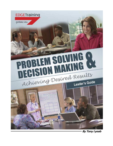

**By Tony Iyoob**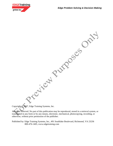

Copyright @ 2007, Edge Training Systems, Inc.

All rights reserved. No part of this publication may be reproduced, stored in a retrieval system, or transmitted in any form or by any means, electronic, mechanical, photocopying, recording, or otherwise, without prior permission of the publisher.

Published by: Edge Training Systems, Inc., 491 Southlake Boulevard, Richmond, VA 23236 800-476-1405, www.edgetraining.com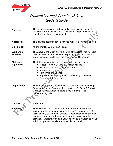

# Problem Solving & Decision Making Leader's Guide

| <b>Purpose:</b>                 | This course is designed to help participants explore the best<br>practices for problem solving & decision making in the midst of<br>complex and chaotic environments.                                                                                                                                                                                                                                           |
|---------------------------------|-----------------------------------------------------------------------------------------------------------------------------------------------------------------------------------------------------------------------------------------------------------------------------------------------------------------------------------------------------------------------------------------------------------------|
| <b>Audience:</b>                | This class is designed for employees at all levels of development.                                                                                                                                                                                                                                                                                                                                              |
| <b>Class Size:</b>              | Approximately 12 to 24 participants.                                                                                                                                                                                                                                                                                                                                                                            |
| Workshop<br>Timeline:           | The above Gantt Chart shows a visual of the class timeline. Blue<br>bars represent lecture, Red bars represent group activities or<br>interaction, and Purple Bars represents Video Component.                                                                                                                                                                                                                  |
| Materials/<br><b>Equipment:</b> | The following materials are recommended for this course:<br>Video: Problem Solving & Decision Making<br>Flipchart stand and paper or dry erase board<br>Notepaper<br>Tent cards or name tags<br>Edge Problem Solving & Decision Making Workbook,<br>PowerPoint & Projector                                                                                                                                      |
| Organization:                   | The Leader's guide is designed to be used with the supporting<br>Participant Course Book and the video titled Problem Solving &<br>Decision Making. Leader's notes are to the right of the<br>corresponding slide                                                                                                                                                                                               |
| <b>Duration:</b>                | 2 to 4 hours.                                                                                                                                                                                                                                                                                                                                                                                                   |
| <b>Summary</b>                  | The activities in this Course Book are designed to allow the<br>instructor to tailor the curriculum to fit specific class needs. Some<br>activities may be altered or omitted. Depending on time allotment<br>and participant needs, instructors may wish to omit certain<br>activities. Additionally certain activities can be expanded to include<br>individual, partner, small group or whole class options. |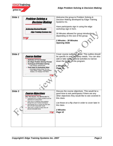

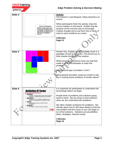

| Slide 4 | <b>Farmer's Land Bequest</b><br>Subalvick a former's property spec<br>his death into four pieces of equal<br>lize and sligge for distribution to his<br>four affigering. All love given to each<br>effapring most be adjoining itself.<br>ind it can not be distributed                                                                                                                                                                     | <b>Activity</b><br>The Farmer's Land Bequest, follow directions on<br>screen.<br>When participants finish the activity, draw the<br>correct solution on the board. Explain that the<br>purpose of this exercise was to encourage<br>creative thought and to put them into a frame of<br>mind to solve problems as a team.<br><b>5 Minutes</b><br>Page #3                                                                                                                                                          |
|---------|---------------------------------------------------------------------------------------------------------------------------------------------------------------------------------------------------------------------------------------------------------------------------------------------------------------------------------------------------------------------------------------------------------------------------------------------|-------------------------------------------------------------------------------------------------------------------------------------------------------------------------------------------------------------------------------------------------------------------------------------------------------------------------------------------------------------------------------------------------------------------------------------------------------------------------------------------------------------------|
| Slide 5 |                                                                                                                                                                                                                                                                                                                                                                                                                                             | Answer Key: Explain we are probably stuck in a<br>paradigm of how to solve this. This forced you to<br>think outside the box for the solution.<br>What previous experiences have you had that<br>made it more difficult/easier to solve this<br>problem?<br>What general type of problem is this?<br>What general principles could you invoke to aid<br>you in solving future problems of similar nature?                                                                                                         |
| Slide 6 | <i>Definition Of Terms</i><br><b>Problem</b><br>> A gaestion or citaation that presents doubt, perplexity<br>or difficulty - scenething that needs to be corrected.<br>Symptom<br>A phenomenon or circumstance considered as an<br>indication or characteristic of a condition or event.<br><i><b>Cause</b></i><br>Something that produces an effect, result, or<br>CONSIGNIES<br>Solution<br>> The method or process of selving a problem. | It is important for participants to understand the<br>terminology before we begin.<br>People think of problems and solutions going<br>hand-in-hand. We are driven to find solutions<br>when we are confronted with problems.<br>We often mistake symptoms for problems. We<br>will talk about how to drill down deeply to find the<br>real problem and the cause so you can begin to<br>try to find solutions. Solutions are possibilities,<br>ideas, strategies, desired results.<br><b>3 Minutes</b><br>Page #4 |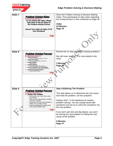

| Slide 7 | Problem Solving Video<br>As You Watch The Video, Please<br>Take Note Of The Six Steps In<br><b>The Problem Solving Process</b><br>Record Your Ideas On Page #5 Of<br><b>Your Workbook</b>                                                                                                                                                                                                                                                                                        | Show the Problem Solving & Decision Making<br>Video. Prep participants to take notes regarding<br>the 6-step process in their workbook on page #5.<br><b>Video</b><br><b>24 Minutes</b><br>Page #5                                                                                                                                                                                                                                                             |
|---------|----------------------------------------------------------------------------------------------------------------------------------------------------------------------------------------------------------------------------------------------------------------------------------------------------------------------------------------------------------------------------------------------------------------------------------------------------------------------------------|----------------------------------------------------------------------------------------------------------------------------------------------------------------------------------------------------------------------------------------------------------------------------------------------------------------------------------------------------------------------------------------------------------------------------------------------------------------|
| Slide 8 | Problem Solving Process<br><b>Define The Problem</b><br>identify Root Cause, Mfurt Needs To Se Food?<br><b>Avalyze The Problem</b><br>- Geller Current State & Future Desired State<br><b>Develop Solutions</b><br><b>University of Lines</b><br><b>Evaluate Salvulans</b><br>Spotentatically Librarily Univers & Europes<br>Choose & Implement The Best Solution<br>Creato Action Rens, Timelines, Measurable Kesuth<br>Follow Up & Evaluate Program<br>Exclude & Adapt Soldier | Review the six step process of solving problems.<br>We will cover steps $1 - 6$ in more detail in this<br>class.<br><b>3 Minutes</b><br>Page #6                                                                                                                                                                                                                                                                                                                |
| Slide 9 | Problem Solving Process<br><b>1. Define The Problem</b><br>- Get the facts, who, what, when, where,<br>why, and how<br>Make sure that what looks like a problem<br>is not just a symptom.<br>- Drill down to the cause of the problem by<br>asking "why" a number of times<br>Look for something that changed at the<br>same time the problem arose                                                                                                                              | <b>Step #1Defining The Problem</b><br>This step allows us to determine the root cause<br>and treat the problem, not the symptom<br>Asking "why?" is the backbone of creative<br>problem solving. You are usually faced with<br>symptoms and we try to solve the symptoms not<br>the root problem.<br>If you don't ask why and dig deeper, you won't<br>be solving the real problem or finding the real<br>cause of the problem.<br><b>5 Minutes</b><br>Page #7 |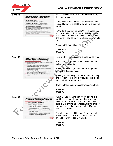

| Slide 10 | <i><b>Root Cause - Ask Why?</b></i>                                                                                                                                                                                                                                                                                                                                        | My car doesn't start. Is that the problem? No,<br>that is a symptom.                                                                                                                                                                                                  |
|----------|----------------------------------------------------------------------------------------------------------------------------------------------------------------------------------------------------------------------------------------------------------------------------------------------------------------------------------------------------------------------------|-----------------------------------------------------------------------------------------------------------------------------------------------------------------------------------------------------------------------------------------------------------------------|
|          | "My car doesn't start."<br>v Is that the problem? We, that is a symptom<br>"Why didn't the car start?" The tuttery is mut.<br>+16 that a problem or a symptom? Probably a symptom.<br>"Why did the battery go dead?"<br>- This forces you to think of all the things that result hill a battery,<br>like a bad alternatur, a loose belt, lack of float in the battery, bid | "Why didn't the car start?" The battery is dead.<br>A dead battery is probably a symptom of the true<br>problem.                                                                                                                                                      |
|          | connection, left the lights on, etc. etc.<br>v You check out all of these possibilities and you fix the tine.<br>problem. If you had a bad alternator and had only replaced the<br>lettery, did you solve the problem?                                                                                                                                                     | "Why did the battery go dead?" This forces you<br>to think of all the things that would kill a battery,<br>like a bad alternator, a loose belt, lack of fluid in<br>the battery, bad connection, left the lights on, etc,<br>etc.<br>You see the value of asking why? |
|          |                                                                                                                                                                                                                                                                                                                                                                            | 2 Minutes<br>Page #8                                                                                                                                                                                                                                                  |
| Slide 11 |                                                                                                                                                                                                                                                                                                                                                                            | Asking why is the backbone of problem solving.                                                                                                                                                                                                                        |
|          | <i>Other Tips / Summary</i>                                                                                                                                                                                                                                                                                                                                                | Break complex problems into smaller parts and                                                                                                                                                                                                                         |
|          | - Asking "why" numerous times is the backbone of<br>problem solving                                                                                                                                                                                                                                                                                                        | solve the small parts.                                                                                                                                                                                                                                                |
|          | - This helps you in determining root cause, to<br>treat the true problems, not symptoms                                                                                                                                                                                                                                                                                    |                                                                                                                                                                                                                                                                       |
|          | - Break complex problems into smaller parts and<br>solve the amail parts.                                                                                                                                                                                                                                                                                                  | When there is disagreement about the problem,                                                                                                                                                                                                                         |
|          | - When having difficulty, step away, let it sink in<br>and go back to it when you are fresh                                                                                                                                                                                                                                                                                | get all the data and facts.                                                                                                                                                                                                                                           |
|          | - Involve other people with different points of<br>Vithi                                                                                                                                                                                                                                                                                                                   | When you are having difficulty in understanding<br>the problem, leave it for a while, let it sink in, go<br>back to it when you are fresh.                                                                                                                            |
|          |                                                                                                                                                                                                                                                                                                                                                                            |                                                                                                                                                                                                                                                                       |
|          |                                                                                                                                                                                                                                                                                                                                                                            | Involve other people with different points of view.                                                                                                                                                                                                                   |
|          |                                                                                                                                                                                                                                                                                                                                                                            | <b>5 Minutes</b><br>Page #8                                                                                                                                                                                                                                           |
|          |                                                                                                                                                                                                                                                                                                                                                                            |                                                                                                                                                                                                                                                                       |
| Slide 12 | Problem Solving Process                                                                                                                                                                                                                                                                                                                                                    | What are you trying to achieve by solving this<br>problem? Involve the people who have a stake<br>in solving the problem. Get their input. Make                                                                                                                       |
|          | 2. Analyze The Problem                                                                                                                                                                                                                                                                                                                                                     | sure that everyone fully understands the problem                                                                                                                                                                                                                      |
|          | Conduct a gap analysis<br>What are we trying to accomplish                                                                                                                                                                                                                                                                                                                 | or you may find that you are getting different                                                                                                                                                                                                                        |
|          | Define the current & the desired state<br>This shows you where you are and where                                                                                                                                                                                                                                                                                           | solution objectives.                                                                                                                                                                                                                                                  |
|          | you want to be<br>Prioritize if more than one objective is                                                                                                                                                                                                                                                                                                                 | The objectives should be specific & measurable.                                                                                                                                                                                                                       |
|          | identified to salve the problem                                                                                                                                                                                                                                                                                                                                            | Paint a picture of the desired result, so that<br>everyone involved can visualize it.                                                                                                                                                                                 |
|          |                                                                                                                                                                                                                                                                                                                                                                            | 2 Minutes<br>Page #9                                                                                                                                                                                                                                                  |
|          |                                                                                                                                                                                                                                                                                                                                                                            |                                                                                                                                                                                                                                                                       |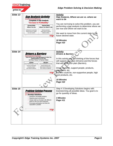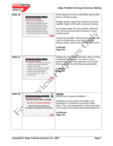

| Slide 16 | Brainstorming Ideas                                                                                                                                                                                                                                                                                                      | Some people are more comfortable sharing their<br>ideas in smaller groups.                                                                                                                                                             |
|----------|--------------------------------------------------------------------------------------------------------------------------------------------------------------------------------------------------------------------------------------------------------------------------------------------------------------------------|----------------------------------------------------------------------------------------------------------------------------------------------------------------------------------------------------------------------------------------|
|          | Allow time to think about the topic<br>Break the group up into smaller groups<br>Realign groups to expose people to new ideas.<br>- Encourage people to speak their mind freely<br>- Incorporate activities that encourage movement                                                                                      | Realign groups, people who spend a lot of time<br>together begin to think alike, promote creativity.                                                                                                                                   |
|          | > Introduce a new train of thought or activity<br>- Actively engage people through questioning<br>» Sidestep to another thought on the same topic<br>> Take a break, add energy, humor or stimulation                                                                                                                    | Encourage people who are hesitant, otherwise,<br>they will just go along with the group to avoid<br>making waves.                                                                                                                      |
|          |                                                                                                                                                                                                                                                                                                                          | Incorporate activities. Stimulate the energy in the<br>room by introducing a new train of thought,<br>taking a break, stretch, joke, throw a ball around.                                                                              |
|          |                                                                                                                                                                                                                                                                                                                          | <b>3 Minutes</b><br>Page #11                                                                                                                                                                                                           |
| Slide 17 | <i><b>Brainstorming Rules</b></i>                                                                                                                                                                                                                                                                                        | Explain the rules of brainstorming. When running<br>a brainstorming session, it is wise to set up                                                                                                                                      |
|          | No judgment -- Do not criticize anyone's ideas<br>Everyone must understand the objective<br>Everyone must participate<br>Quantity - Go for as many ideas as possible.<br>Wild ideas accepted - get playful, far-out<br>Hitchhiking on other ideas is desired<br>Switch your point of view. What if ?<br>Record all ideas | ground rules. The main objective is to set rules<br>that encourage free thinking and participation.<br>3 Minutes<br>Page #12                                                                                                           |
| Slide 18 | dia.<br><b>Brainstorming Activity</b>                                                                                                                                                                                                                                                                                    | <b>Activity</b><br>How do we increase profitability?                                                                                                                                                                                   |
|          | Generate As Many Ideas As Possible<br>How Do We Increase Profitability?<br>Record Your Ideas On Page #13<br>Be Prepared To Report Out To The Group                                                                                                                                                                       | Generate as many ideas as possible. Give<br>participants 15 minutes to record all of their<br>ideas. Then, ask participants to share their ideas<br>and compare if the others had anything different.<br><b>15 Minutes</b><br>Page #13 |
|          |                                                                                                                                                                                                                                                                                                                          |                                                                                                                                                                                                                                        |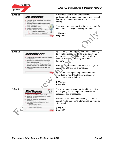

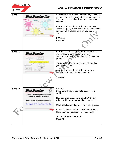

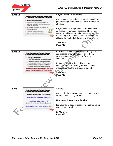

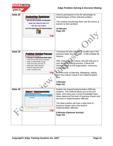

| Slide 28 | <i><b>Evaluating Solutions</b></i><br>How Do We Increase Profitability?<br>Using Your Ideas On Page #19<br><b>Pick Your Top 3 Ideas</b><br>List The Advantages & Disadvantages                                                                                                                    | Instruct participants to list the advantages &<br>disadvantages of their selected problem.<br>This method should help them see the drivers &<br>barriers to their problem.<br><b>10 Minutes</b><br>Page #20                                                                                                                                                                                                                              |
|----------|---------------------------------------------------------------------------------------------------------------------------------------------------------------------------------------------------------------------------------------------------------------------------------------------------|------------------------------------------------------------------------------------------------------------------------------------------------------------------------------------------------------------------------------------------------------------------------------------------------------------------------------------------------------------------------------------------------------------------------------------------|
| Slide 29 | <b>Problem Solving Process</b><br>5. Choose & Implement Best Idea<br>Choose the best idea based on evaluation<br>Design an implementation strategy<br>- Create action plans, time lines, etc.<br>Assign tasks, goals & objectives<br>Determine measurable results<br>- Create a contingency plan- | Choosing the best solution is usually easy if the<br>previous steps are done well. It will probably be<br>obvious.<br>After evaluating the criteria, this will help you in<br>your decision making process. Criteria will<br>change based on the organization, resources,<br>and problem.<br>Now the work of planning, delegating, setting<br>time lines will be critical in the implementation<br>plan.<br><b>3 Minutes</b><br>Page #21 |
| Slide 30 | <i>Impact / Implementation</i><br>Cot il species<br>×<br>×<br>x<br>or Low, 30 in Placitum; 44 in 1924)                                                                                                                                                                                            | Explain the Impact/Implementation Difficulty<br>Analysis. This method allows you to list your<br>ideas, and using your current knowledge base,<br>helps determine the level of business impact and<br>the level of implementation difficulty.<br>The ideal solution will have a high level of<br>business impact and a low level of<br>implementation difficulty.<br>8 Minutes (Optional Activity)<br>Page #22                           |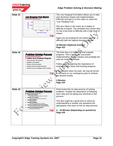

| Slide 31 | Low Hanging Fruit Matrix<br>Nestian<br>1.ow<br><b>Hodcar</b><br>Level of Kosiness Angu                                                                                                                                                                                                                                                                                                                                                                                                                      | The Low Hanging Fruit Matrix allows you to take<br>your Business Impact and Implementation<br>Difficulty and plot in on the matrix to catch the<br>"Low Hanging Fruit".<br>Plot your ideas in the matrix as it relates to<br>difficulty & impact. The example here shows idea<br>#1 has a low level of difficulty with a high level of<br>impact.<br>Again you are looking for the lowest level of<br>difficulty with the highest business impact.<br>10 Minutes (Optional Activity)<br>Page #23 |
|----------|-------------------------------------------------------------------------------------------------------------------------------------------------------------------------------------------------------------------------------------------------------------------------------------------------------------------------------------------------------------------------------------------------------------------------------------------------------------------------------------------------------------|--------------------------------------------------------------------------------------------------------------------------------------------------------------------------------------------------------------------------------------------------------------------------------------------------------------------------------------------------------------------------------------------------------------------------------------------------------------------------------------------------|
| Slide 32 | <b>Problem Solving Process</b><br><b>6. Follow Up &amp; Evaluate Progress</b><br>Follow through with solutions.<br>Establish accountability<br>Monitor and track progress<br>Evaluate results and adjust solutions<br>> Fall back on your contingency plan if needed                                                                                                                                                                                                                                        | The final step is to follow up and evaluate<br>progress. This is key to the successful<br>implementation of your solution and probably the<br>area we most often forget.<br>Follow up by explaining the importance of<br>evaluating your ideas and tracking progress.<br>If our solution does not work, we may be forced<br>to fall back on our contingency plan to achieve<br>the desired results.<br><b>3 Minutes</b><br>Page #24                                                              |
| Slide 33 | Problem Solving Process<br><b>Define The Problem</b><br>lder@ly Root Cause, Mfurt Needs To the Food?<br><b>Analyze The Problem</b><br>Geller Current State & Future Dealed State<br><b>Develop Solations</b><br><b>University of Alberta</b><br><b>Evaluate Salvoons</b><br>Spotsmanically Librarily Drivers & Europe's<br><b>Choose &amp; Implement The Best Solution</b><br>- Creato Action Rens, Timelines, Measurable Kenuths<br><b>Follow Up &amp; Evaluate Program</b><br>C Exclude & Adapt Soletions | Final review the six step process of solving<br>problems. Explain the importance of following<br>each step and not taking any shortcuts in this<br>process.<br>This also might be a good time to check for<br>understanding or answer any questions the<br>participants may have on the six-step process.<br>3 - 10 Minutes (Depending on questions)<br>Page #25                                                                                                                                 |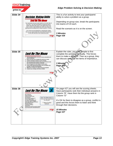

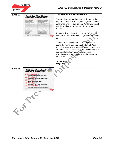